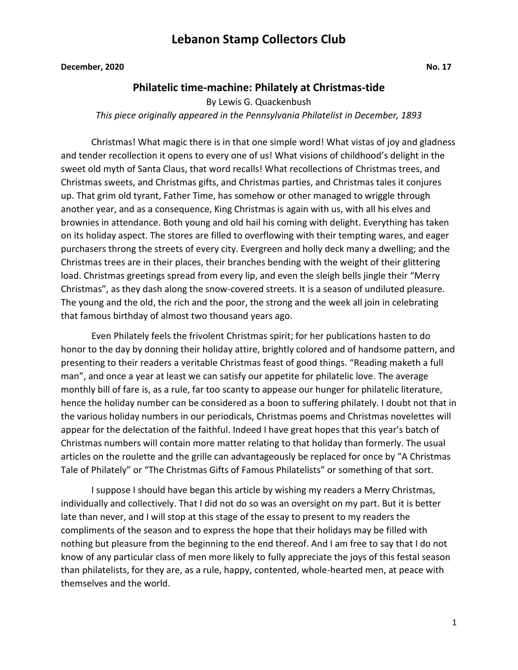**December, 2020 No. 17** 

#### **Philatelic time-machine: Philately at Christmas-tide**

By Lewis G. Quackenbush *This piece originally appeared in the Pennsylvania Philatelist in December, 1893*

Christmas! What magic there is in that one simple word! What vistas of joy and gladness and tender recollection it opens to every one of us! What visions of childhood's delight in the sweet old myth of Santa Claus, that word recalls! What recollections of Christmas trees, and Christmas sweets, and Christmas gifts, and Christmas parties, and Christmas tales it conjures up. That grim old tyrant, Father Time, has somehow or other managed to wriggle through another year, and as a consequence, King Christmas is again with us, with all his elves and brownies in attendance. Both young and old hail his coming with delight. Everything has taken on its holiday aspect. The stores are filled to overflowing with their tempting wares, and eager purchasers throng the streets of every city. Evergreen and holly deck many a dwelling; and the Christmas trees are in their places, their branches bending with the weight of their glittering load. Christmas greetings spread from every lip, and even the sleigh bells jingle their "Merry Christmas", as they dash along the snow-covered streets. It is a season of undiluted pleasure. The young and the old, the rich and the poor, the strong and the week all join in celebrating that famous birthday of almost two thousand years ago.

Even Philately feels the frivolent Christmas spirit; for her publications hasten to do honor to the day by donning their holiday attire, brightly colored and of handsome pattern, and presenting to their readers a veritable Christmas feast of good things. "Reading maketh a full man", and once a year at least we can satisfy our appetite for philatelic love. The average monthly bill of fare is, as a rule, far too scanty to appease our hunger for philatelic literature, hence the holiday number can be considered as a boon to suffering philately. I doubt not that in the various holiday numbers in our periodicals, Christmas poems and Christmas novelettes will appear for the delectation of the faithful. Indeed I have great hopes that this year's batch of Christmas numbers will contain more matter relating to that holiday than formerly. The usual articles on the roulette and the grille can advantageously be replaced for once by "A Christmas Tale of Philately" or "The Christmas Gifts of Famous Philatelists" or something of that sort.

I suppose I should have began this article by wishing my readers a Merry Christmas, individually and collectively. That I did not do so was an oversight on my part. But it is better late than never, and I will stop at this stage of the essay to present to my readers the compliments of the season and to express the hope that their holidays may be filled with nothing but pleasure from the beginning to the end thereof. And I am free to say that I do not know of any particular class of men more likely to fully appreciate the joys of this festal season than philatelists, for they are, as a rule, happy, contented, whole-hearted men, at peace with themselves and the world.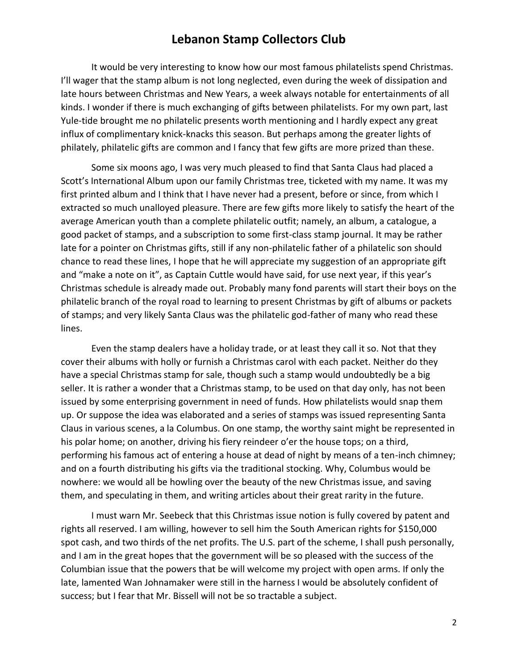It would be very interesting to know how our most famous philatelists spend Christmas. I'll wager that the stamp album is not long neglected, even during the week of dissipation and late hours between Christmas and New Years, a week always notable for entertainments of all kinds. I wonder if there is much exchanging of gifts between philatelists. For my own part, last Yule-tide brought me no philatelic presents worth mentioning and I hardly expect any great influx of complimentary knick-knacks this season. But perhaps among the greater lights of philately, philatelic gifts are common and I fancy that few gifts are more prized than these.

Some six moons ago, I was very much pleased to find that Santa Claus had placed a Scott's International Album upon our family Christmas tree, ticketed with my name. It was my first printed album and I think that I have never had a present, before or since, from which I extracted so much unalloyed pleasure. There are few gifts more likely to satisfy the heart of the average American youth than a complete philatelic outfit; namely, an album, a catalogue, a good packet of stamps, and a subscription to some first-class stamp journal. It may be rather late for a pointer on Christmas gifts, still if any non-philatelic father of a philatelic son should chance to read these lines, I hope that he will appreciate my suggestion of an appropriate gift and "make a note on it", as Captain Cuttle would have said, for use next year, if this year's Christmas schedule is already made out. Probably many fond parents will start their boys on the philatelic branch of the royal road to learning to present Christmas by gift of albums or packets of stamps; and very likely Santa Claus was the philatelic god-father of many who read these lines.

Even the stamp dealers have a holiday trade, or at least they call it so. Not that they cover their albums with holly or furnish a Christmas carol with each packet. Neither do they have a special Christmas stamp for sale, though such a stamp would undoubtedly be a big seller. It is rather a wonder that a Christmas stamp, to be used on that day only, has not been issued by some enterprising government in need of funds. How philatelists would snap them up. Or suppose the idea was elaborated and a series of stamps was issued representing Santa Claus in various scenes, a la Columbus. On one stamp, the worthy saint might be represented in his polar home; on another, driving his fiery reindeer o'er the house tops; on a third, performing his famous act of entering a house at dead of night by means of a ten-inch chimney; and on a fourth distributing his gifts via the traditional stocking. Why, Columbus would be nowhere: we would all be howling over the beauty of the new Christmas issue, and saving them, and speculating in them, and writing articles about their great rarity in the future.

I must warn Mr. Seebeck that this Christmas issue notion is fully covered by patent and rights all reserved. I am willing, however to sell him the South American rights for \$150,000 spot cash, and two thirds of the net profits. The U.S. part of the scheme, I shall push personally, and I am in the great hopes that the government will be so pleased with the success of the Columbian issue that the powers that be will welcome my project with open arms. If only the late, lamented Wan Johnamaker were still in the harness I would be absolutely confident of success; but I fear that Mr. Bissell will not be so tractable a subject.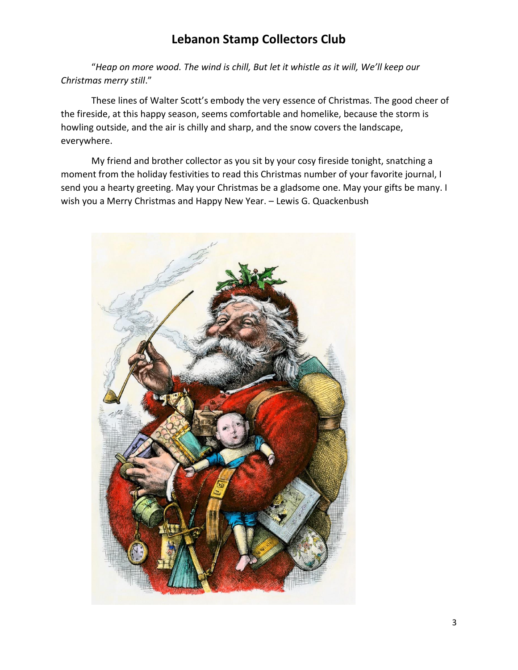"*Heap on more wood. The wind is chill, But let it whistle as it will, We'll keep our Christmas merry still*."

These lines of Walter Scott's embody the very essence of Christmas. The good cheer of the fireside, at this happy season, seems comfortable and homelike, because the storm is howling outside, and the air is chilly and sharp, and the snow covers the landscape, everywhere.

My friend and brother collector as you sit by your cosy fireside tonight, snatching a moment from the holiday festivities to read this Christmas number of your favorite journal, I send you a hearty greeting. May your Christmas be a gladsome one. May your gifts be many. I wish you a Merry Christmas and Happy New Year. – Lewis G. Quackenbush

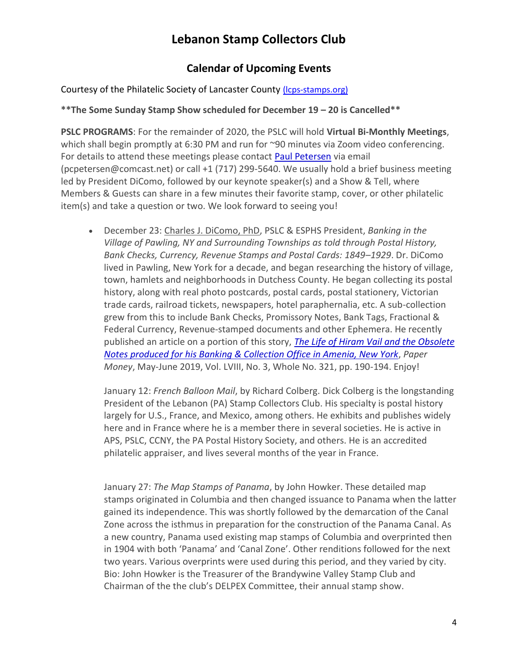### **Calendar of Upcoming Events**

#### Courtesy of the Philatelic Society of Lancaster County (Icps-stamps.org)

#### **\*\*The Some Sunday Stamp Show scheduled for December 19 – 20 is Cancelled\*\***

**PSLC PROGRAMS**: For the remainder of 2020, the PSLC will hold **Virtual Bi-Monthly Meetings**, which shall begin promptly at 6:30 PM and run for ~90 minutes via Zoom video conferencing. For details to attend these meetings please contact [Paul Petersen](mailto:pcpetersen@comcast.net) via email (pcpetersen@comcast.net) or call +1 (717) 299-5640. We usually hold a brief business meeting led by President DiComo, followed by our keynote speaker(s) and a Show & Tell, where Members & Guests can share in a few minutes their favorite stamp, cover, or other philatelic item(s) and take a question or two. We look forward to seeing you!

• December 23: Charles J. DiComo, PhD, PSLC & ESPHS President, *Banking in the Village of Pawling, NY and Surrounding Townships as told through Postal History, Bank Checks, Currency, Revenue Stamps and Postal Cards: 1849–1929*. Dr. DiComo lived in Pawling, New York for a decade, and began researching the history of village, town, hamlets and neighborhoods in Dutchess County. He began collecting its postal history, along with real photo postcards, postal cards, postal stationery, Victorian trade cards, railroad tickets, newspapers, hotel paraphernalia, etc. A sub-collection grew from this to include Bank Checks, Promissory Notes, Bank Tags, Fractional & Federal Currency, Revenue-stamped documents and other Ephemera. He recently published an article on a portion of this story, *[The Life of Hiram Vail and the Obsolete](http://lcps-stamps.org/wp-content/uploads/2019/06/Paper-Money-MayJune19-DICOMO-p1-8.pdf)  [Notes produced for his Banking & Collection Office in Amenia, New York](http://lcps-stamps.org/wp-content/uploads/2019/06/Paper-Money-MayJune19-DICOMO-p1-8.pdf)*, *Paper Money*, May-June 2019, Vol. LVIII, No. 3, Whole No. 321, pp. 190-194. Enjoy!

January 12: *French Balloon Mail*, by Richard Colberg. Dick Colberg is the longstanding President of the Lebanon (PA) Stamp Collectors Club. His specialty is postal history largely for U.S., France, and Mexico, among others. He exhibits and publishes widely here and in France where he is a member there in several societies. He is active in APS, PSLC, CCNY, the PA Postal History Society, and others. He is an accredited philatelic appraiser, and lives several months of the year in France.

January 27: *The Map Stamps of Panama*, by John Howker. These detailed map stamps originated in Columbia and then changed issuance to Panama when the latter gained its independence. This was shortly followed by the demarcation of the Canal Zone across the isthmus in preparation for the construction of the Panama Canal. As a new country, Panama used existing map stamps of Columbia and overprinted then in 1904 with both 'Panama' and 'Canal Zone'. Other renditions followed for the next two years. Various overprints were used during this period, and they varied by city. Bio: John Howker is the Treasurer of the Brandywine Valley Stamp Club and Chairman of the the club's DELPEX Committee, their annual stamp show.